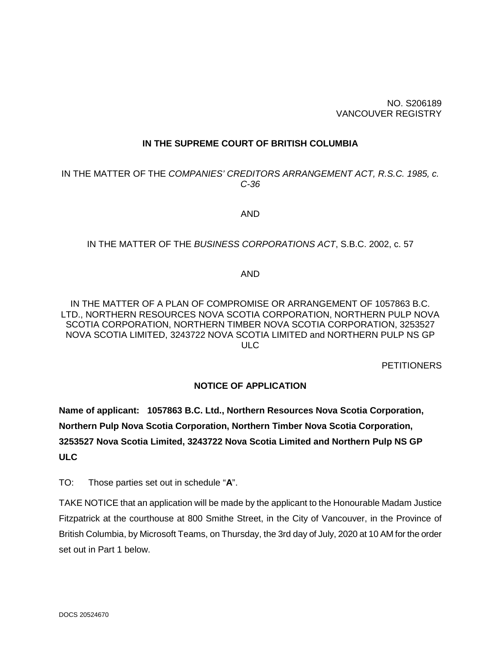### NO. S206189 VANCOUVER REGISTRY

### **IN THE SUPREME COURT OF BRITISH COLUMBIA**

## IN THE MATTER OF THE *COMPANIES' CREDITORS ARRANGEMENT ACT, R.S.C. 1985, c. C-36*

AND

#### IN THE MATTER OF THE *BUSINESS CORPORATIONS ACT*, S.B.C. 2002, c. 57

AND

IN THE MATTER OF A PLAN OF COMPROMISE OR ARRANGEMENT OF 1057863 B.C. LTD., NORTHERN RESOURCES NOVA SCOTIA CORPORATION, NORTHERN PULP NOVA SCOTIA CORPORATION, NORTHERN TIMBER NOVA SCOTIA CORPORATION, 3253527 NOVA SCOTIA LIMITED, 3243722 NOVA SCOTIA LIMITED and NORTHERN PULP NS GP ULC

**PETITIONERS** 

### **NOTICE OF APPLICATION**

**Name of applicant: 1057863 B.C. Ltd., Northern Resources Nova Scotia Corporation, Northern Pulp Nova Scotia Corporation, Northern Timber Nova Scotia Corporation, 3253527 Nova Scotia Limited, 3243722 Nova Scotia Limited and Northern Pulp NS GP ULC** 

TO: Those parties set out in schedule "**A**".

TAKE NOTICE that an application will be made by the applicant to the Honourable Madam Justice Fitzpatrick at the courthouse at 800 Smithe Street, in the City of Vancouver, in the Province of British Columbia, by Microsoft Teams, on Thursday, the 3rd day of July, 2020 at 10 AM for the order set out in Part 1 below.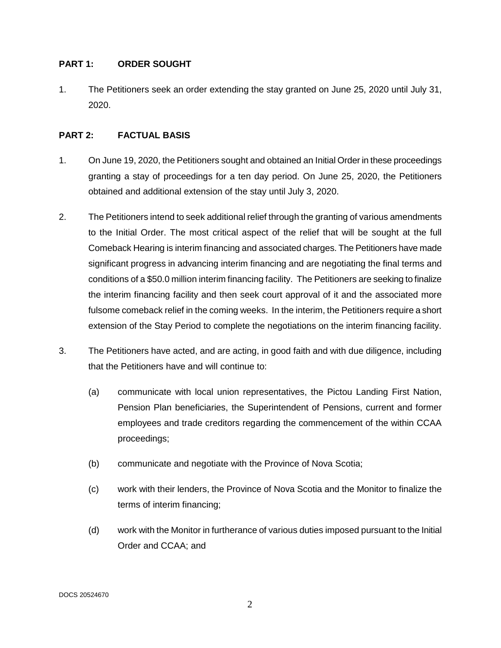### **PART 1: ORDER SOUGHT**

1. The Petitioners seek an order extending the stay granted on June 25, 2020 until July 31, 2020.

### **PART 2: FACTUAL BASIS**

- 1. On June 19, 2020, the Petitioners sought and obtained an Initial Order in these proceedings granting a stay of proceedings for a ten day period. On June 25, 2020, the Petitioners obtained and additional extension of the stay until July 3, 2020.
- 2. The Petitioners intend to seek additional relief through the granting of various amendments to the Initial Order. The most critical aspect of the relief that will be sought at the full Comeback Hearing is interim financing and associated charges. The Petitioners have made significant progress in advancing interim financing and are negotiating the final terms and conditions of a \$50.0 million interim financing facility. The Petitioners are seeking to finalize the interim financing facility and then seek court approval of it and the associated more fulsome comeback relief in the coming weeks. In the interim, the Petitioners require a short extension of the Stay Period to complete the negotiations on the interim financing facility.
- 3. The Petitioners have acted, and are acting, in good faith and with due diligence, including that the Petitioners have and will continue to:
	- (a) communicate with local union representatives, the Pictou Landing First Nation, Pension Plan beneficiaries, the Superintendent of Pensions, current and former employees and trade creditors regarding the commencement of the within CCAA proceedings;
	- (b) communicate and negotiate with the Province of Nova Scotia;
	- (c) work with their lenders, the Province of Nova Scotia and the Monitor to finalize the terms of interim financing;
	- (d) work with the Monitor in furtherance of various duties imposed pursuant to the Initial Order and CCAA; and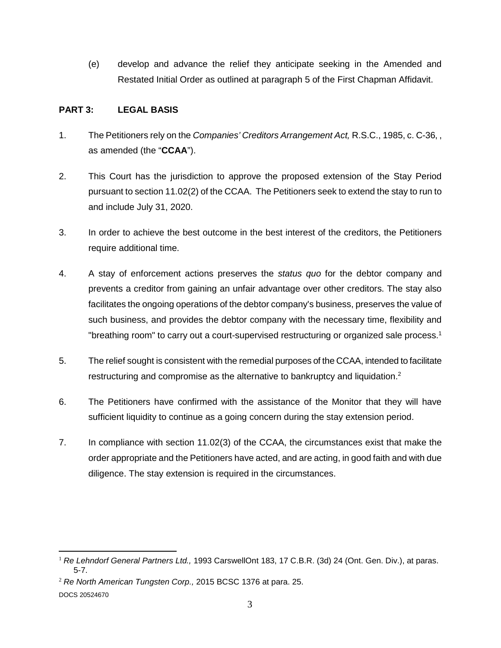(e) develop and advance the relief they anticipate seeking in the Amended and Restated Initial Order as outlined at paragraph 5 of the First Chapman Affidavit.

# **PART 3: LEGAL BASIS**

- 1. The Petitioners rely on the *Companies' Creditors Arrangement Act,* R.S.C., 1985, c. C-36, , as amended (the "**CCAA**").
- 2. This Court has the jurisdiction to approve the proposed extension of the Stay Period pursuant to section 11.02(2) of the CCAA. The Petitioners seek to extend the stay to run to and include July 31, 2020.
- 3. In order to achieve the best outcome in the best interest of the creditors, the Petitioners require additional time.
- 4. A stay of enforcement actions preserves the *status quo* for the debtor company and prevents a creditor from gaining an unfair advantage over other creditors. The stay also facilitates the ongoing operations of the debtor company's business, preserves the value of such business, and provides the debtor company with the necessary time, flexibility and "breathing room" to carry out a court-supervised restructuring or organized sale process.<sup>1</sup>
- 5. The relief sought is consistent with the remedial purposes of the CCAA, intended to facilitate restructuring and compromise as the alternative to bankruptcy and liquidation.<sup>2</sup>
- 6. The Petitioners have confirmed with the assistance of the Monitor that they will have sufficient liquidity to continue as a going concern during the stay extension period.
- 7. In compliance with section 11.02(3) of the CCAA, the circumstances exist that make the order appropriate and the Petitioners have acted, and are acting, in good faith and with due diligence. The stay extension is required in the circumstances.

 $\overline{a}$ <sup>1</sup> *Re Lehndorf General Partners Ltd.,* 1993 CarswellOnt 183, 17 C.B.R. (3d) 24 (Ont. Gen. Div.), at paras. 5-7.

<sup>2</sup> *Re North American Tungsten Corp.,* 2015 BCSC 1376 at para. 25.

DOCS 20524670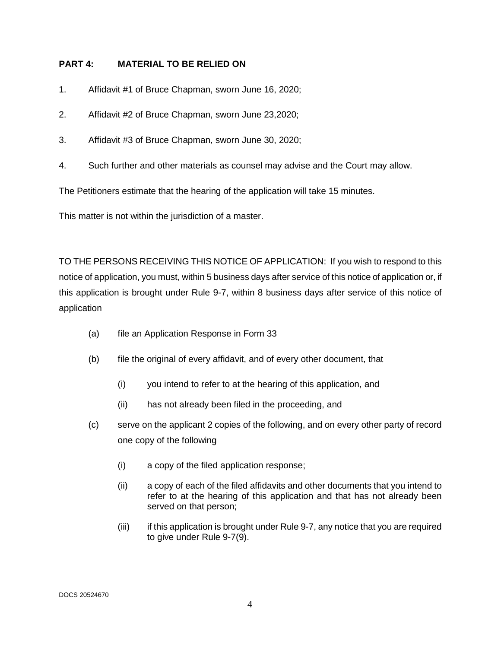## **PART 4: MATERIAL TO BE RELIED ON**

- 1. Affidavit #1 of Bruce Chapman, sworn June 16, 2020;
- 2. Affidavit #2 of Bruce Chapman, sworn June 23,2020;
- 3. Affidavit #3 of Bruce Chapman, sworn June 30, 2020;
- 4. Such further and other materials as counsel may advise and the Court may allow.

The Petitioners estimate that the hearing of the application will take 15 minutes.

This matter is not within the jurisdiction of a master.

TO THE PERSONS RECEIVING THIS NOTICE OF APPLICATION: If you wish to respond to this notice of application, you must, within 5 business days after service of this notice of application or, if this application is brought under Rule 9-7, within 8 business days after service of this notice of application

- (a) file an Application Response in Form 33
- (b) file the original of every affidavit, and of every other document, that
	- (i) you intend to refer to at the hearing of this application, and
	- (ii) has not already been filed in the proceeding, and
- (c) serve on the applicant 2 copies of the following, and on every other party of record one copy of the following
	- (i) a copy of the filed application response;
	- (ii) a copy of each of the filed affidavits and other documents that you intend to refer to at the hearing of this application and that has not already been served on that person;
	- (iii) if this application is brought under Rule 9-7, any notice that you are required to give under Rule 9-7(9).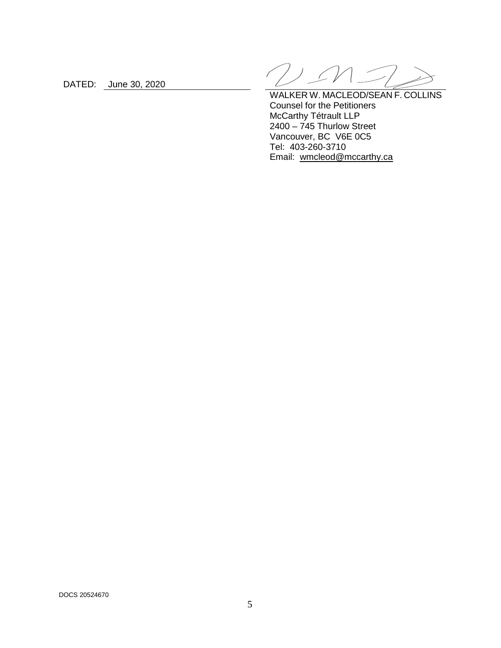DATED: June 30, 2020

 $\mathcal{L}$ 

WALKER W. MACLEOD/SEAN F. COLLINS Counsel for the Petitioners McCarthy Tétrault LLP 2400 – 745 Thurlow Street Vancouver, BC V6E 0C5 Tel: 403-260-3710 Email: wmcleod@mccarthy.ca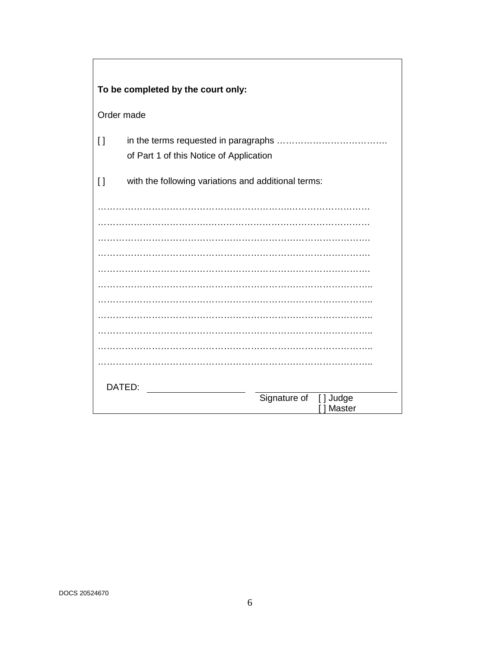| To be completed by the court only:                                  |                                         |              |                    |
|---------------------------------------------------------------------|-----------------------------------------|--------------|--------------------|
| Order made                                                          |                                         |              |                    |
| $\Box$                                                              | of Part 1 of this Notice of Application |              |                    |
| $\mathbf{I}$<br>with the following variations and additional terms: |                                         |              |                    |
|                                                                     |                                         |              |                    |
|                                                                     |                                         |              |                    |
|                                                                     |                                         |              |                    |
|                                                                     |                                         |              |                    |
|                                                                     |                                         |              |                    |
|                                                                     |                                         |              |                    |
|                                                                     |                                         |              |                    |
|                                                                     |                                         |              |                    |
|                                                                     |                                         |              |                    |
|                                                                     |                                         |              |                    |
|                                                                     |                                         |              |                    |
|                                                                     | DATED:                                  |              |                    |
|                                                                     |                                         | Signature of | [] Judge<br>Master |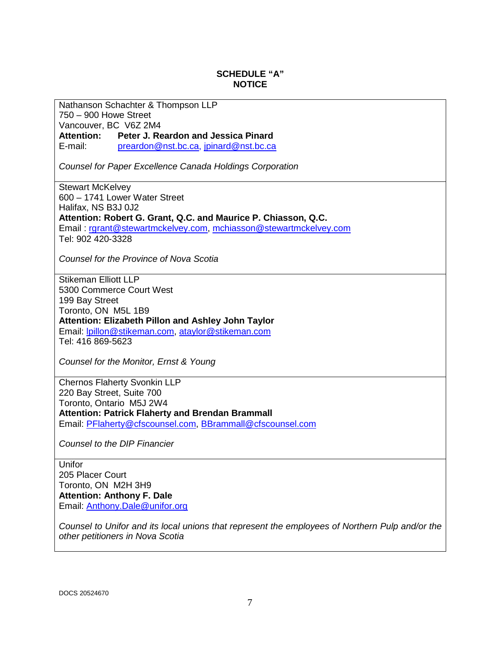## **SCHEDULE "A" NOTICE**

Nathanson Schachter & Thompson LLP 750 – 900 Howe Street Vancouver, BC V6Z 2M4 **Attention: Peter J. Reardon and Jessica Pinard**  E-mail: [preardon@nst.bc.ca,](mailto:preardon@nst.bc.ca) [jpinard@nst.bc.ca](mailto:jpinard@nst.bc.ca)

*Counsel for Paper Excellence Canada Holdings Corporation* 

Stewart McKelvey 600 – 1741 Lower Water Street Halifax, NS B3J 0J2 **Attention: Robert G. Grant, Q.C. and Maurice P. Chiasson, Q.C.**  Email : [rgrant@stewartmckelvey.com,](mailto:rgrant@stewartmckelvey.com) [mchiasson@stewartmckelvey.com](mailto:mchiasson@stewartmckelvey.com) Tel: 902 420-3328

*Counsel for the Province of Nova Scotia* 

Stikeman Elliott LLP 5300 Commerce Court West 199 Bay Street Toronto, ON M5L 1B9 **Attention: Elizabeth Pillon and Ashley John Taylor** Email: [lpillon@stikeman.com,](mailto:lpillon@stikeman.com) [ataylor@stikeman.com](mailto:ataylor@stikeman.com)  Tel: 416 869-5623

*Counsel for the Monitor, Ernst & Young* 

Chernos Flaherty Svonkin LLP 220 Bay Street, Suite 700 Toronto, Ontario M5J 2W4 **Attention: Patrick Flaherty and Brendan Brammall**  Email: [PFlaherty@cfscounsel.com,](mailto:PFlaherty@cfscounsel.com) [BBrammall@cfscounsel.com](mailto:BBrammall@cfscounsel.com) 

*Counsel to the DIP Financier* 

Unifor

205 Placer Court Toronto, ON M2H 3H9 **Attention: Anthony F. Dale**  Email: [Anthony.Dale@unifor.org](mailto:Anthony.Dale@unifor.org) 

*Counsel to Unifor and its local unions that represent the employees of Northern Pulp and/or the other petitioners in Nova Scotia*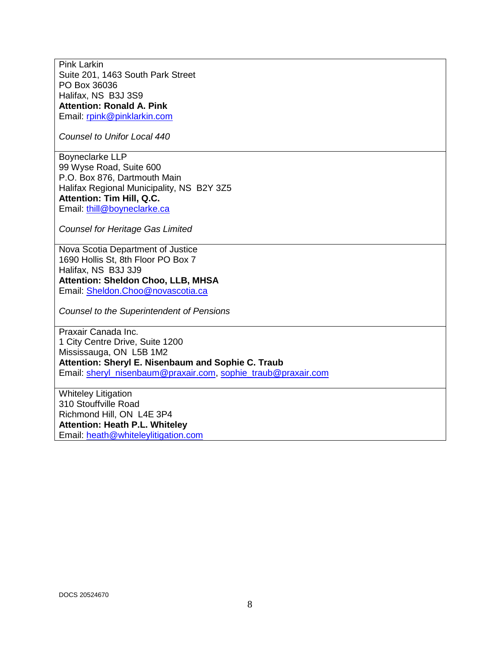Pink Larkin Suite 201, 1463 South Park Street PO Box 36036 Halifax, NS B3J 3S9 **Attention: Ronald A. Pink**  Email: [rpink@pinklarkin.com](mailto:rpink@pinklarkin.com) 

*Counsel to Unifor Local 440* 

Boyneclarke LLP 99 Wyse Road, Suite 600 P.O. Box 876, Dartmouth Main Halifax Regional Municipality, NS B2Y 3Z5 **Attention: Tim Hill, Q.C.**  Email: [thill@boyneclarke.ca](mailto:thill@boyneclarke.ca) 

*Counsel for Heritage Gas Limited* 

Nova Scotia Department of Justice 1690 Hollis St, 8th Floor PO Box 7 Halifax, NS B3J 3J9 **Attention: Sheldon Choo, LLB, MHSA**  Email: [Sheldon.Choo@novascotia.ca](mailto:Sheldon.Choo@novascotia.ca) 

*Counsel to the Superintendent of Pensions* 

Praxair Canada Inc. 1 City Centre Drive, Suite 1200 Mississauga, ON L5B 1M2 **Attention: Sheryl E. Nisenbaum and Sophie C. Traub**  Email: [sheryl\\_nisenbaum@praxair.com,](mailto:sheryl_nisenbaum@praxair.com) [sophie\\_traub@praxair.com](mailto:sophie_traub@praxair.com) 

Whiteley Litigation 310 Stouffville Road Richmond Hill, ON L4E 3P4 **Attention: Heath P.L. Whiteley**  Email: [heath@whiteleylitigation.com](mailto:heath@whiteleylitigation.com)